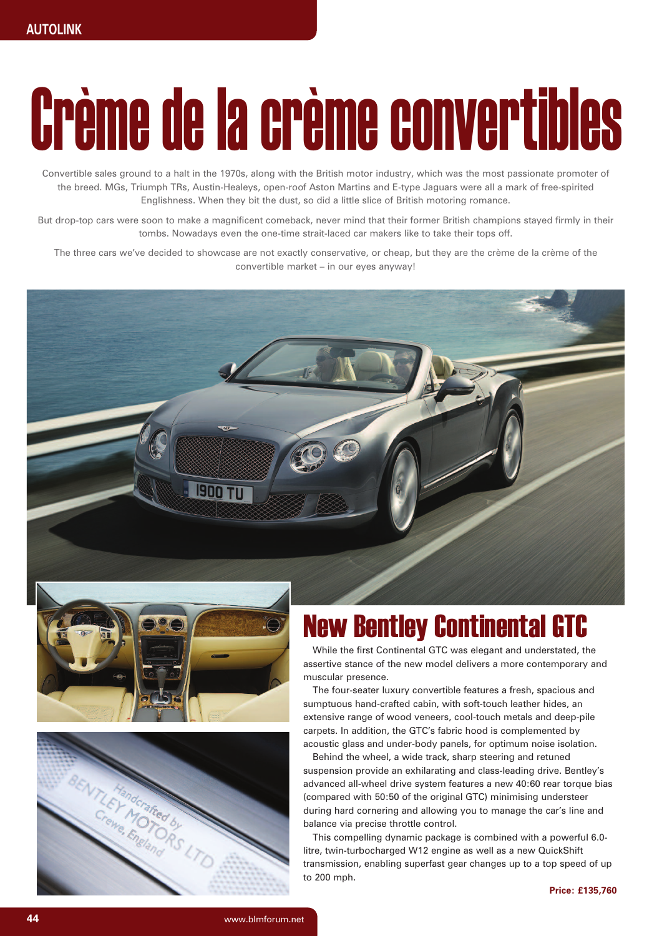## Crème de la crème convertibles

Convertible sales ground to a halt in the 1970s, along with the British motor industry, which was the most passionate promoter of the breed. MGs, Triumph TRs, Austin-Healeys, open-roof Aston Martins and E-type Jaguars were all a mark of free-spirited Englishness. When they bit the dust, so did a little slice of British motoring romance.

But drop-top cars were soon to make a magnificent comeback, never mind that their former British champions stayed firmly in their tombs. Nowadays even the one-time strait-laced car makers like to take their tops off.

The three cars we've decided to showcase are not exactly conservative, or cheap, but they are the crème de la crème of the convertible market – in our eyes anyway!







## New Bentley Continental GTC

While the first Continental GTC was elegant and understated, the assertive stance of the new model delivers a more contemporary and muscular presence.

The four-seater luxury convertible features a fresh, spacious and sumptuous hand-crafted cabin, with soft-touch leather hides, an extensive range of wood veneers, cool-touch metals and deep-pile carpets. In addition, the GTC's fabric hood is complemented by acoustic glass and under-body panels, for optimum noise isolation.

Behind the wheel, a wide track, sharp steering and retuned suspension provide an exhilarating and class-leading drive. Bentley's advanced all-wheel drive system features a new 40:60 rear torque bias (compared with 50:50 of the original GTC) minimising understeer during hard cornering and allowing you to manage the car's line and balance via precise throttle control.

This compelling dynamic package is combined with a powerful 6.0 litre, twin-turbocharged W12 engine as well as a new QuickShift transmission, enabling superfast gear changes up to a top speed of up to 200 mph.